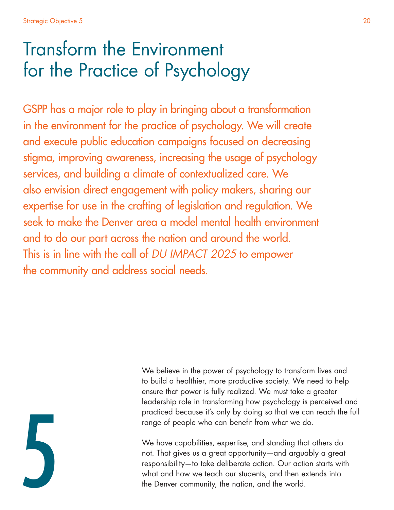# Transform the Environment for the Practice of Psychology

GSPP has a major role to play in bringing about a transformation in the environment for the practice of psychology. We will create and execute public education campaigns focused on decreasing stigma, improving awareness, increasing the usage of psychology services, and building a climate of contextualized care. We also envision direct engagement with policy makers, sharing our expertise for use in the crafting of legislation and regulation. We seek to make the Denver area a model mental health environment and to do our part across the nation and around the world. This is in line with the call of *DU IMPACT 2025* to empower the community and address social needs.



We believe in the power of psychology to transform lives and to build a healthier, more productive society. We need to help ensure that power is fully realized. We must take a greater leadership role in transforming how psychology is perceived and practiced because it's only by doing so that we can reach the full range of people who can benefit from what we do.

We have capabilities, expertise, and standing that others do not. That gives us a great opportunity—and arguably a great responsibility—to take deliberate action. Our action starts with what and how we teach our students, and then extends into the Denver community, the nation, and the world.